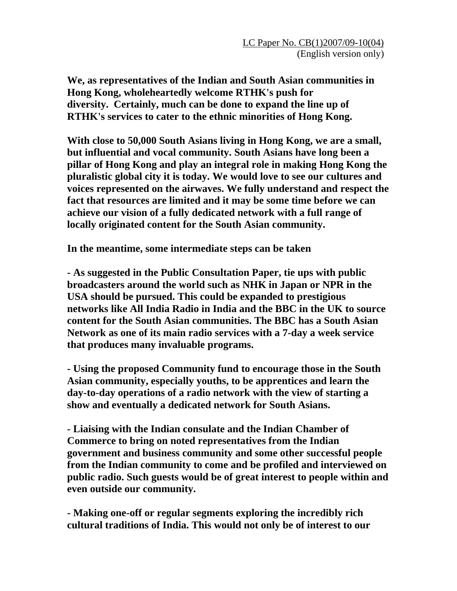**We, as representatives of the Indian and South Asian communities in Hong Kong, wholeheartedly welcome RTHK's push for diversity. Certainly, much can be done to expand the line up of RTHK's services to cater to the ethnic minorities of Hong Kong.** 

**With close to 50,000 South Asians living in Hong Kong, we are a small, but influential and vocal community. South Asians have long been a pillar of Hong Kong and play an integral role in making Hong Kong the pluralistic global city it is today. We would love to see our cultures and voices represented on the airwaves. We fully understand and respect the fact that resources are limited and it may be some time before we can achieve our vision of a fully dedicated network with a full range of locally originated content for the South Asian community.** 

**In the meantime, some intermediate steps can be taken** 

**- As suggested in the Public Consultation Paper, tie ups with public broadcasters around the world such as NHK in Japan or NPR in the USA should be pursued. This could be expanded to prestigious networks like All India Radio in India and the BBC in the UK to source content for the South Asian communities. The BBC has a South Asian Network as one of its main radio services with a 7-day a week service that produces many invaluable programs.** 

**- Using the proposed Community fund to encourage those in the South Asian community, especially youths, to be apprentices and learn the day-to-day operations of a radio network with the view of starting a show and eventually a dedicated network for South Asians.** 

**- Liaising with the Indian consulate and the Indian Chamber of Commerce to bring on noted representatives from the Indian government and business community and some other successful people from the Indian community to come and be profiled and interviewed on public radio. Such guests would be of great interest to people within and even outside our community.** 

**- Making one-off or regular segments exploring the incredibly rich cultural traditions of India. This would not only be of interest to our**